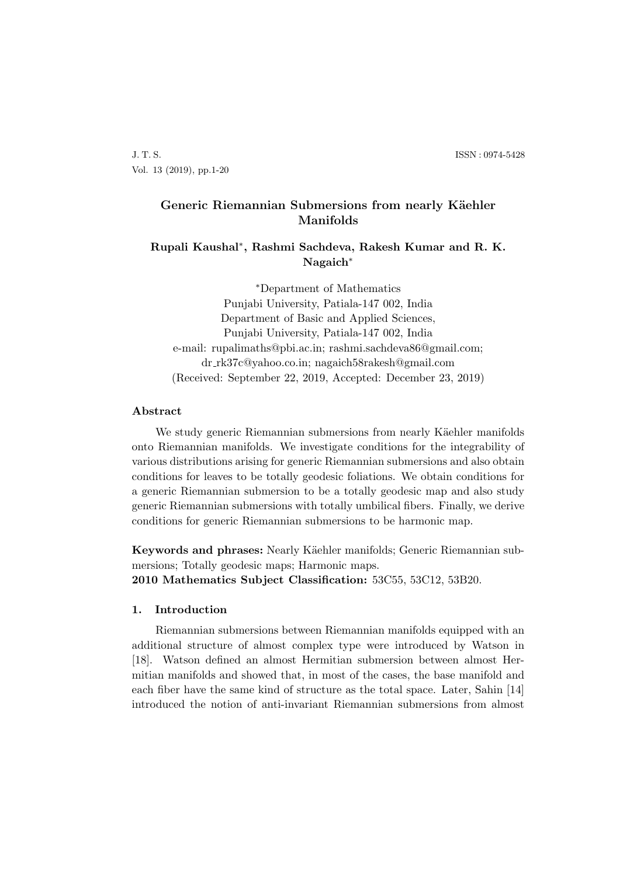J. T. S. ISSN : 0974-5428 Vol. 13 (2019), pp.1-20

# Generic Riemannian Submersions from nearly Käehler **Manifolds**

## **Rupali Kaushal***∗* **, Rashmi Sachdeva, Rakesh Kumar and R. K. Nagaich***∗*

*∗*Department of Mathematics Punjabi University, Patiala-147 002, India Department of Basic and Applied Sciences, Punjabi University, Patiala-147 002, India e-mail: rupalimaths@pbi.ac.in; rashmi.sachdeva86@gmail.com; dr rk37c@yahoo.co.in; nagaich58rakesh@gmail.com (Received: September 22, 2019, Accepted: December 23, 2019)

### **Abstract**

We study generic Riemannian submersions from nearly Käehler manifolds onto Riemannian manifolds. We investigate conditions for the integrability of various distributions arising for generic Riemannian submersions and also obtain conditions for leaves to be totally geodesic foliations. We obtain conditions for a generic Riemannian submersion to be a totally geodesic map and also study generic Riemannian submersions with totally umbilical fibers. Finally, we derive conditions for generic Riemannian submersions to be harmonic map.

**Keywords and phrases:** Nearly Käehler manifolds; Generic Riemannian submersions; Totally geodesic maps; Harmonic maps.

**2010 Mathematics Subject Classification:** 53C55, 53C12, 53B20.

## **1. Introduction**

Riemannian submersions between Riemannian manifolds equipped with an additional structure of almost complex type were introduced by Watson in [18]. Watson defined an almost Hermitian submersion between almost Hermitian manifolds and showed that, in most of the cases, the base manifold and each fiber have the same kind of structure as the total space. Later, Sahin [14] introduced the notion of anti-invariant Riemannian submersions from almost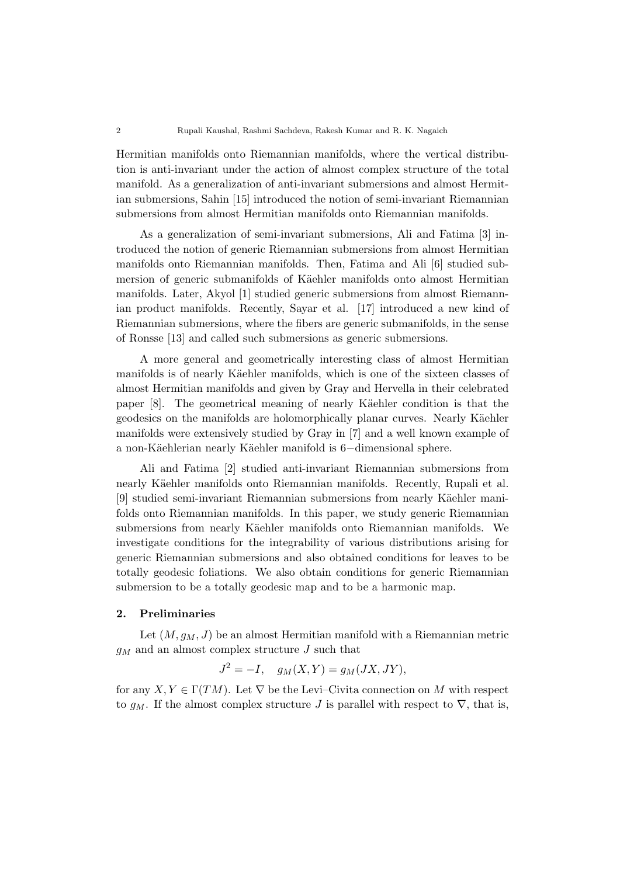Hermitian manifolds onto Riemannian manifolds, where the vertical distribution is anti-invariant under the action of almost complex structure of the total manifold. As a generalization of anti-invariant submersions and almost Hermitian submersions, Sahin [15] introduced the notion of semi-invariant Riemannian submersions from almost Hermitian manifolds onto Riemannian manifolds.

As a generalization of semi-invariant submersions, Ali and Fatima [3] introduced the notion of generic Riemannian submersions from almost Hermitian manifolds onto Riemannian manifolds. Then, Fatima and Ali [6] studied submersion of generic submanifolds of Käehler manifolds onto almost Hermitian manifolds. Later, Akyol [1] studied generic submersions from almost Riemannian product manifolds. Recently, Sayar et al. [17] introduced a new kind of Riemannian submersions, where the fibers are generic submanifolds, in the sense of Ronsse [13] and called such submersions as generic submersions.

A more general and geometrically interesting class of almost Hermitian manifolds is of nearly Käehler manifolds, which is one of the sixteen classes of almost Hermitian manifolds and given by Gray and Hervella in their celebrated paper [8]. The geometrical meaning of nearly Käehler condition is that the geodesics on the manifolds are holomorphically planar curves. Nearly Käehler manifolds were extensively studied by Gray in [7] and a well known example of a non-K¨aehlerian nearly K¨aehler manifold is 6*−*dimensional sphere.

Ali and Fatima [2] studied anti-invariant Riemannian submersions from nearly Käehler manifolds onto Riemannian manifolds. Recently, Rupali et al. [9] studied semi-invariant Riemannian submersions from nearly Käehler manifolds onto Riemannian manifolds. In this paper, we study generic Riemannian submersions from nearly Käehler manifolds onto Riemannian manifolds. We investigate conditions for the integrability of various distributions arising for generic Riemannian submersions and also obtained conditions for leaves to be totally geodesic foliations. We also obtain conditions for generic Riemannian submersion to be a totally geodesic map and to be a harmonic map.

#### **2. Preliminaries**

Let  $(M, g_M, J)$  be an almost Hermitian manifold with a Riemannian metric *g<sup>M</sup>* and an almost complex structure *J* such that

$$
J^2 = -I, \quad g_M(X, Y) = g_M(JX, JY),
$$

for any  $X, Y \in \Gamma(TM)$ . Let  $\nabla$  be the Levi–Civita connection on M with respect to  $g_M$ . If the almost complex structure *J* is parallel with respect to  $\nabla$ , that is,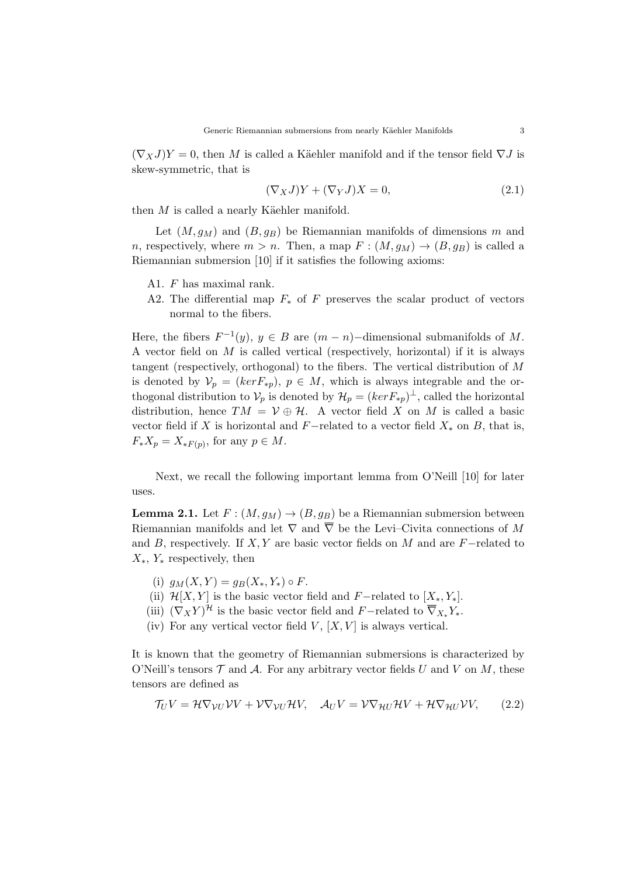$(\nabla \times \mathcal{J})Y = 0$ , then *M* is called a Käehler manifold and if the tensor field  $\nabla J$  is skew-symmetric, that is

$$
(\nabla_X J)Y + (\nabla_Y J)X = 0,\t(2.1)
$$

then  $M$  is called a nearly Käehler manifold.

Let  $(M, g_M)$  and  $(B, g_B)$  be Riemannian manifolds of dimensions m and *n*, respectively, where  $m > n$ . Then, a map  $F : (M, g_M) \to (B, g_B)$  is called a Riemannian submersion [10] if it satisfies the following axioms:

- A1. *F* has maximal rank.
- A2. The differential map *F<sup>∗</sup>* of *F* preserves the scalar product of vectors normal to the fibers.

Here, the fibers  $F^{-1}(y)$ ,  $y \in B$  are  $(m - n)$ *-*dimensional submanifolds of M. A vector field on *M* is called vertical (respectively, horizontal) if it is always tangent (respectively, orthogonal) to the fibers. The vertical distribution of *M* is denoted by  $V_p = (ker F_{*p})$ ,  $p \in M$ , which is always integrable and the orthogonal distribution to  $V_p$  is denoted by  $\mathcal{H}_p = (ker F_{*p})^{\perp}$ , called the horizontal distribution, hence  $TM = V \oplus H$ . A vector field *X* on *M* is called a basic vector field if *X* is horizontal and *F*−related to a vector field  $X_*$  on *B*, that is,  $F_*X_p = X_{*F(p)}$ , for any  $p \in M$ .

Next, we recall the following important lemma from O'Neill [10] for later uses.

**Lemma 2.1.** Let  $F : (M, g_M) \to (B, g_B)$  be a Riemannian submersion between Riemannian manifolds and let  $\nabla$  and  $\overline{\nabla}$  be the Levi–Civita connections of M and *B*, respectively. If *X, Y* are basic vector fields on *M* and are *F−*related to *X∗*, *Y<sup>∗</sup>* respectively, then

- (i)  $g_M(X, Y) = g_B(X_*, Y_*) \circ F$ .
- (ii)  $\mathcal{H}[X, Y]$  is the basic vector field and *F*−related to  $[X_*, Y_*]$ .
- (iii)  $(\nabla_X Y)^{\mathcal{H}}$  is the basic vector field and *F*−related to  $\nabla_{X_*} Y_*$ .
- (iv) For any vertical vector field  $V$ ,  $[X, V]$  is always vertical.

It is known that the geometry of Riemannian submersions is characterized by O'Neill's tensors  $\mathcal T$  and  $\mathcal A$ . For any arbitrary vector fields *U* and *V* on *M*, these tensors are defined as

$$
\mathcal{T}_U V = \mathcal{H} \nabla_{\mathcal{V} U} \mathcal{V} V + \mathcal{V} \nabla_{\mathcal{V} U} \mathcal{H} V, \quad \mathcal{A}_U V = \mathcal{V} \nabla_{\mathcal{H} U} \mathcal{H} V + \mathcal{H} \nabla_{\mathcal{H} U} \mathcal{V} V, \tag{2.2}
$$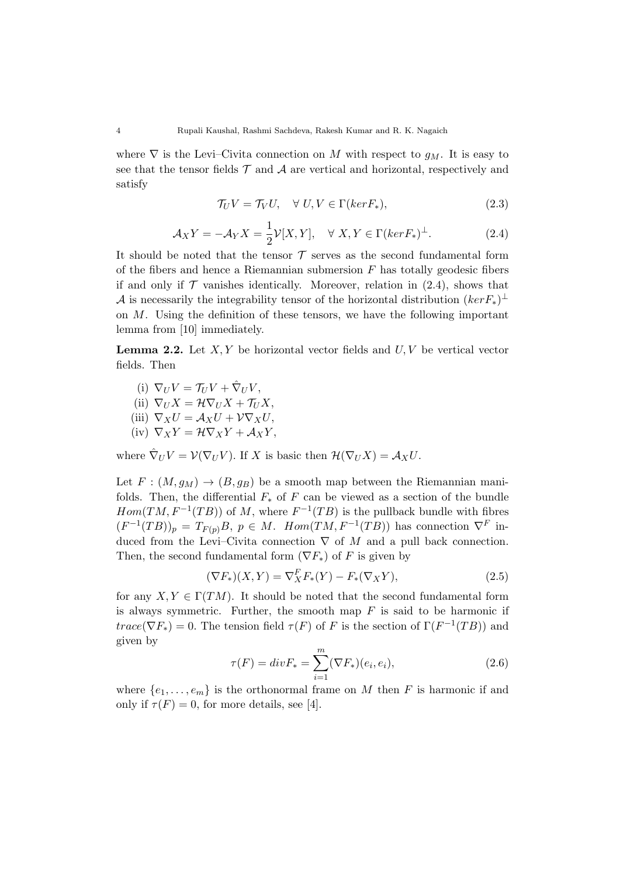where  $\nabla$  is the Levi–Civita connection on *M* with respect to  $q_M$ . It is easy to see that the tensor fields  $\mathcal T$  and  $\mathcal A$  are vertical and horizontal, respectively and satisfy

$$
\mathcal{T}_U V = \mathcal{T}_V U, \quad \forall \ U, V \in \Gamma(ker F_*), \tag{2.3}
$$

$$
\mathcal{A}_X Y = -\mathcal{A}_Y X = \frac{1}{2} \mathcal{V}[X, Y], \quad \forall X, Y \in \Gamma(ker F_*)^{\perp}.
$$
 (2.4)

It should be noted that the tensor  $\mathcal T$  serves as the second fundamental form of the fibers and hence a Riemannian submersion *F* has totally geodesic fibers if and only if  $\mathcal T$  vanishes identically. Moreover, relation in  $(2.4)$ , shows that *A* is necessarily the integrability tensor of the horizontal distribution  $(kerF_*)^{\perp}$ on *M*. Using the definition of these tensors, we have the following important lemma from [10] immediately.

**Lemma 2.2.** Let *X, Y* be horizontal vector fields and *U, V* be vertical vector fields. Then

- (i)  $\nabla_U V = \mathcal{T}_U V + \hat{\nabla}_U V$ ,  $(iii)$   $\nabla_U X = \mathcal{H} \nabla_U X + \mathcal{T}_U X$ (iii)  $\nabla_X U = \mathcal{A}_X U + \mathcal{V} \nabla_X U$ ,
- $(iv)$   $\nabla_X Y = \mathcal{H} \nabla_X Y + \mathcal{A}_X Y$
- 

where  $\hat{\nabla}_U V = \mathcal{V}(\nabla_U V)$ . If *X* is basic then  $\mathcal{H}(\nabla_U X) = \mathcal{A}_X U$ .

Let  $F : (M, g_M) \to (B, g_B)$  be a smooth map between the Riemannian manifolds. Then, the differential  $F_*$  of  $F$  can be viewed as a section of the bundle  $Hom(TM, F^{-1}(TB))$  of M, where  $F^{-1}(TB)$  is the pullback bundle with fibres  $(F^{-1}(TB))_p = T_{F(p)}B$ ,  $p \in M$ .  $Hom(TM, F^{-1}(TB))$  has connection  $\nabla^F$  induced from the Levi–Civita connection *∇* of *M* and a pull back connection. Then, the second fundamental form  $(\nabla F_*)$  of *F* is given by

$$
(\nabla F_*)(X, Y) = \nabla_X^F F_*(Y) - F_*(\nabla_X Y), \tag{2.5}
$$

for any  $X, Y \in \Gamma(TM)$ . It should be noted that the second fundamental form is always symmetric. Further, the smooth map *F* is said to be harmonic if *trace*( $\nabla F_*$ ) = 0. The tension field  $\tau(F)$  of *F* is the section of  $\Gamma(F^{-1}(TB))$  and given by

$$
\tau(F) = div F_* = \sum_{i=1}^{m} (\nabla F_*)(e_i, e_i), \qquad (2.6)
$$

where  $\{e_1, \ldots, e_m\}$  is the orthonormal frame on *M* then *F* is harmonic if and only if  $\tau(F) = 0$ , for more details, see [4].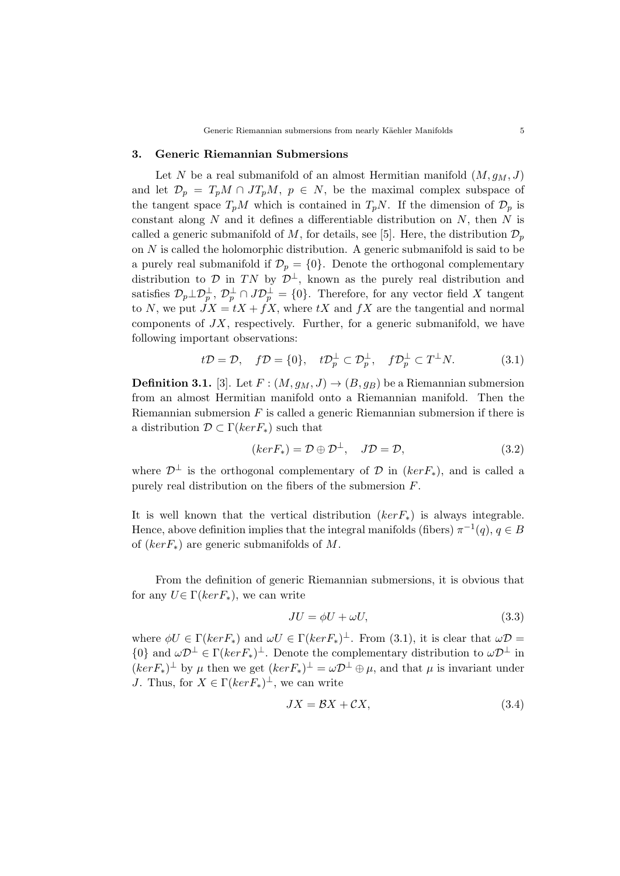### **3. Generic Riemannian Submersions**

Let *N* be a real submanifold of an almost Hermitian manifold  $(M, g<sub>M</sub>, J)$ and let  $\mathcal{D}_p = T_p M \cap J T_p M$ ,  $p \in N$ , be the maximal complex subspace of the tangent space  $T_pM$  which is contained in  $T_pN$ . If the dimension of  $\mathcal{D}_p$  is constant along *N* and it defines a differentiable distribution on *N*, then *N* is called a generic submanifold of M, for details, see [5]. Here, the distribution  $\mathcal{D}_p$ on *N* is called the holomorphic distribution. A generic submanifold is said to be a purely real submanifold if  $\mathcal{D}_p = \{0\}$ . Denote the orthogonal complementary distribution to *D* in *TN* by  $\mathcal{D}^{\perp}$ , known as the purely real distribution and satisfies  $\mathcal{D}_p \perp \mathcal{D}_p^{\perp}$ ,  $\mathcal{D}_p^{\perp} \cap J\mathcal{D}_p^{\perp} = \{0\}$ . Therefore, for any vector field X tangent to *N*, we put  $JX = tX + fX$ , where  $tX$  and  $fX$  are the tangential and normal components of *JX*, respectively. Further, for a generic submanifold, we have following important observations:

$$
t\mathcal{D} = \mathcal{D}, \quad f\mathcal{D} = \{0\}, \quad t\mathcal{D}_p^{\perp} \subset \mathcal{D}_p^{\perp}, \quad f\mathcal{D}_p^{\perp} \subset T^{\perp}N. \tag{3.1}
$$

**Definition 3.1.** [3]. Let  $F : (M, g_M, J) \rightarrow (B, g_B)$  be a Riemannian submersion from an almost Hermitian manifold onto a Riemannian manifold. Then the Riemannian submersion *F* is called a generic Riemannian submersion if there is a distribution *D ⊂* Γ(*kerF∗*) such that

$$
(ker F_*) = \mathcal{D} \oplus \mathcal{D}^{\perp}, \quad J\mathcal{D} = \mathcal{D}, \tag{3.2}
$$

where  $\mathcal{D}^{\perp}$  is the orthogonal complementary of  $\mathcal D$  in (*kerF*<sub>\*</sub>), and is called a purely real distribution on the fibers of the submersion *F*.

It is well known that the vertical distribution (*kerF∗*) is always integrable. Hence, above definition implies that the integral manifolds (fibers)  $\pi^{-1}(q)$ ,  $q \in B$ of (*kerF∗*) are generic submanifolds of *M*.

From the definition of generic Riemannian submersions, it is obvious that for any  $U \in \Gamma(ker F_*)$ , we can write

$$
JU = \phi U + \omega U,\tag{3.3}
$$

where  $\phi U \in \Gamma(kerF_*)$  and  $\omega U \in \Gamma(kerF_*)^{\perp}$ . From (3.1), it is clear that  $\omega \mathcal{D} =$  $\{0\}$  and  $\omega \mathcal{D}^{\perp} \in \Gamma(kerF_*)^{\perp}$ . Denote the complementary distribution to  $\omega \mathcal{D}^{\perp}$  in  $(kerF_*)^{\perp}$  by  $\mu$  then we get  $(kerF_*)^{\perp} = \omega \mathcal{D}^{\perp} \oplus \mu$ , and that  $\mu$  is invariant under *J*. Thus, for  $X \in \Gamma(ker F_*)^{\perp}$ , we can write

$$
JX = \mathcal{B}X + \mathcal{C}X,\tag{3.4}
$$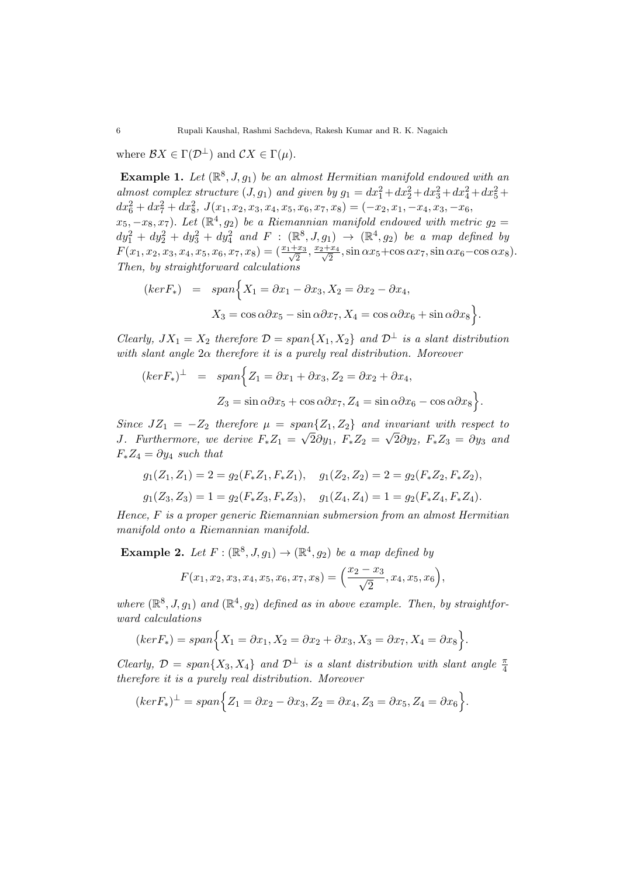where  $\mathcal{B}X \in \Gamma(\mathcal{D}^{\perp})$  and  $\mathcal{C}X \in \Gamma(\mu)$ .

**Example 1.** Let  $(\mathbb{R}^8, J, g_1)$  be an almost Hermitian manifold endowed with an *almost complex structure*  $(J, g_1)$  *and given by*  $g_1 = dx_1^2 + dx_2^2 + dx_3^2 + dx_4^2 + dx_5^2 +$  $dx_6^2 + dx_7^2 + dx_8^2$ ,  $J(x_1, x_2, x_3, x_4, x_5, x_6, x_7, x_8) = (-x_2, x_1, -x_4, x_3, -x_6,$  $(x_5, -x_8, x_7)$ *.* Let  $(\mathbb{R}^4, g_2)$  be a Riemannian manifold endowed with metric  $g_2 =$  $dy_1^2 + dy_2^2 + dy_3^2 + dy_4^2$  and  $F : (\mathbb{R}^8, J, g_1) \rightarrow (\mathbb{R}^4, g_2)$  be a map defined by  $F(x_1, x_2, x_3, x_4, x_5, x_6, x_7, x_8) = \left(\frac{x_1 + x_3}{\sqrt{2}}\right)$  $\frac{x_3}{2}, \frac{x_2+x_4}{\sqrt{2}}$  $\frac{2x_4}{2}$ , sin  $\alpha x_5 + \cos \alpha x_7$ , sin  $\alpha x_6 - \cos \alpha x_8$ ). *Then, by straightforward calculations*

$$
(ker F_*) = span \Big\{ X_1 = \partial x_1 - \partial x_3, X_2 = \partial x_2 - \partial x_4,
$$
  

$$
X_3 = \cos \alpha \partial x_5 - \sin \alpha \partial x_7, X_4 = \cos \alpha \partial x_6 + \sin \alpha \partial x_8 \Big\}.
$$

*Clearly,*  $JX_1 = X_2$  *therefore*  $\mathcal{D} = span\{X_1, X_2\}$  *and*  $\mathcal{D}^\perp$  *is a slant distribution with slant angle* 2*α therefore it is a purely real distribution. Moreover*

$$
(ker F_*)^{\perp} = span\Big\{Z_1 = \partial x_1 + \partial x_3, Z_2 = \partial x_2 + \partial x_4,
$$
  

$$
Z_3 = \sin \alpha \partial x_5 + \cos \alpha \partial x_7, Z_4 = \sin \alpha \partial x_6 - \cos \alpha \partial x_8\Big\}.
$$

*Since*  $JZ_1 = -Z_2$  *therefore*  $\mu = span\{Z_1, Z_2\}$  *and invariant with respect to J. Furthermore, we derive*  $F_*Z_1 = \sqrt{2\partial y_1}$ ,  $F_*Z_2 = \sqrt{2\partial y_2}$ ,  $F_*Z_3 = \partial y_3$  and  $F_* Z_4 = \partial y_4$  *such that* 

$$
g_1(Z_1, Z_1) = 2 = g_2(F_*Z_1, F_*Z_1), \quad g_1(Z_2, Z_2) = 2 = g_2(F_*Z_2, F_*Z_2),
$$

$$
g_1(Z_3, Z_3) = 1 = g_2(F_*Z_3, F_*Z_3), \quad g_1(Z_4, Z_4) = 1 = g_2(F_*Z_4, F_*Z_4).
$$

*Hence, F is a proper generic Riemannian submersion from an almost Hermitian manifold onto a Riemannian manifold.*

**Example 2.** Let  $F : (\mathbb{R}^8, J, g_1) \to (\mathbb{R}^4, g_2)$  be a map defined by

$$
F(x_1, x_2, x_3, x_4, x_5, x_6, x_7, x_8) = \left(\frac{x_2 - x_3}{\sqrt{2}}, x_4, x_5, x_6\right),
$$

where  $(\mathbb{R}^8, J, g_1)$  and  $(\mathbb{R}^4, g_2)$  defined as in above example. Then, by straightfor*ward calculations*

$$
(ker F_*) = span \Big\{ X_1 = \partial x_1, X_2 = \partial x_2 + \partial x_3, X_3 = \partial x_7, X_4 = \partial x_8 \Big\}.
$$

*Clearly,*  $\mathcal{D} = span\{X_3, X_4\}$  and  $\mathcal{D}^\perp$  *is a slant distribution with slant angle*  $\frac{\pi}{4}$ *therefore it is a purely real distribution. Moreover*

$$
(ker F_*)^{\perp} = span \Big\{ Z_1 = \partial x_2 - \partial x_3, Z_2 = \partial x_4, Z_3 = \partial x_5, Z_4 = \partial x_6 \Big\}.
$$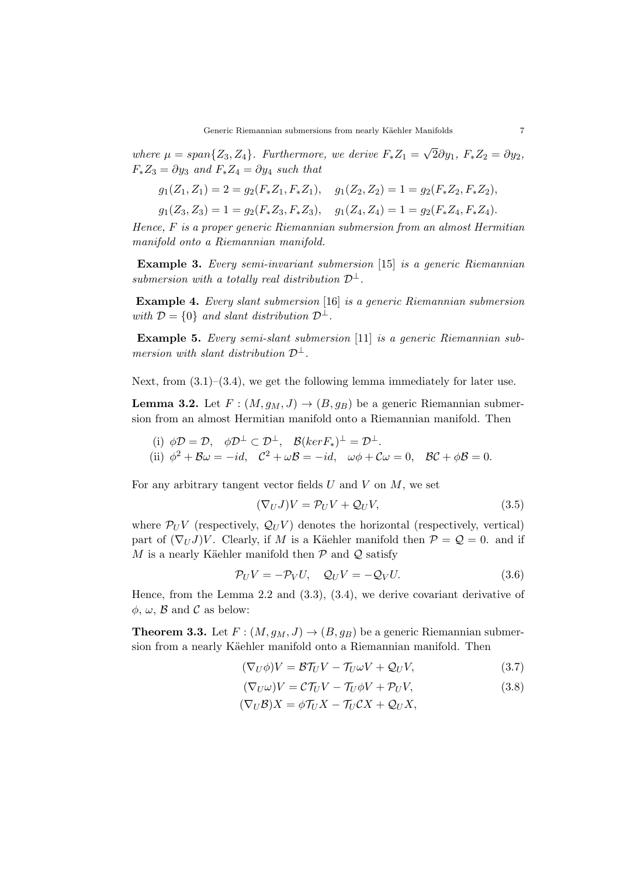*where*  $\mu = span\{Z_3, Z_4\}$ *. Furthermore, we derive*  $F_*Z_1 =$ *√* 2*∂y*1*, F∗Z*<sup>2</sup> = *∂y*2*,*  $F_* Z_3 = \partial y_3$  *and*  $F_* Z_4 = \partial y_4$  *such that* 

$$
g_1(Z_1, Z_1) = 2 = g_2(F_*Z_1, F_*Z_1), \quad g_1(Z_2, Z_2) = 1 = g_2(F_*Z_2, F_*Z_2),
$$

$$
g_1(Z_3, Z_3) = 1 = g_2(F_*Z_3, F_*Z_3), \quad g_1(Z_4, Z_4) = 1 = g_2(F_*Z_4, F_*Z_4).
$$

*Hence, F is a proper generic Riemannian submersion from an almost Hermitian manifold onto a Riemannian manifold.*

**Example 3.** *Every semi-invariant submersion* [15] *is a generic Riemannian submersion with a totally real distribution*  $\mathcal{D}^{\perp}$ *.* 

**Example 4.** *Every slant submersion* [16] *is a generic Riemannian submersion with*  $\mathcal{D} = \{0\}$  *and slant distribution*  $\mathcal{D}^{\perp}$ *.* 

**Example 5.** *Every semi-slant submersion* [11] *is a generic Riemannian submersion with slant distribution*  $\mathcal{D}^{\perp}$ *.* 

Next, from  $(3.1)$ – $(3.4)$ , we get the following lemma immediately for later use.

**Lemma 3.2.** Let  $F : (M, g_M, J) \rightarrow (B, g_B)$  be a generic Riemannian submersion from an almost Hermitian manifold onto a Riemannian manifold. Then

(i) 
$$
\phi \mathcal{D} = \mathcal{D}
$$
,  $\phi \mathcal{D}^{\perp} \subset \mathcal{D}^{\perp}$ ,  $\mathcal{B}(ker F_*)^{\perp} = \mathcal{D}^{\perp}$ .  
\n(ii)  $\phi^2 + \mathcal{B}\omega = -id$ ,  $C^2 + \omega\mathcal{B} = -id$ ,  $\omega\phi + \mathcal{C}\omega = 0$ ,  $\mathcal{B}\mathcal{C} + \phi\mathcal{B} = 0$ .

For any arbitrary tangent vector fields *U* and *V* on *M*, we set

$$
(\nabla_U J)V = \mathcal{P}_U V + \mathcal{Q}_U V,\tag{3.5}
$$

where  $\mathcal{P}_U V$  (respectively,  $\mathcal{Q}_U V$ ) denotes the horizontal (respectively, vertical) part of  $(\nabla_U J)V$ . Clearly, if *M* is a Käehler manifold then  $\mathcal{P} = \mathcal{Q} = 0$ . and if *M* is a nearly Käehler manifold then  $P$  and  $Q$  satisfy

$$
\mathcal{P}_U V = -\mathcal{P}_V U, \quad \mathcal{Q}_U V = -\mathcal{Q}_V U. \tag{3.6}
$$

Hence, from the Lemma 2.2 and (3.3), (3.4), we derive covariant derivative of  $\phi$ ,  $\omega$ ,  $\beta$  and  $\beta$  as below:

**Theorem 3.3.** Let  $F : (M, q_M, J) \rightarrow (B, q_B)$  be a generic Riemannian submersion from a nearly Käehler manifold onto a Riemannian manifold. Then

$$
(\nabla_U \phi)V = \mathcal{B}\mathcal{T}_U V - \mathcal{T}_U \omega V + \mathcal{Q}_U V,\tag{3.7}
$$

$$
(\nabla_U \omega)V = \mathcal{C}\mathcal{T}_U V - \mathcal{T}_U \phi V + \mathcal{P}_U V,\tag{3.8}
$$

$$
(\nabla_U \mathcal{B})X = \phi \mathcal{T}_U X - \mathcal{T}_U \mathcal{C} X + \mathcal{Q}_U X,
$$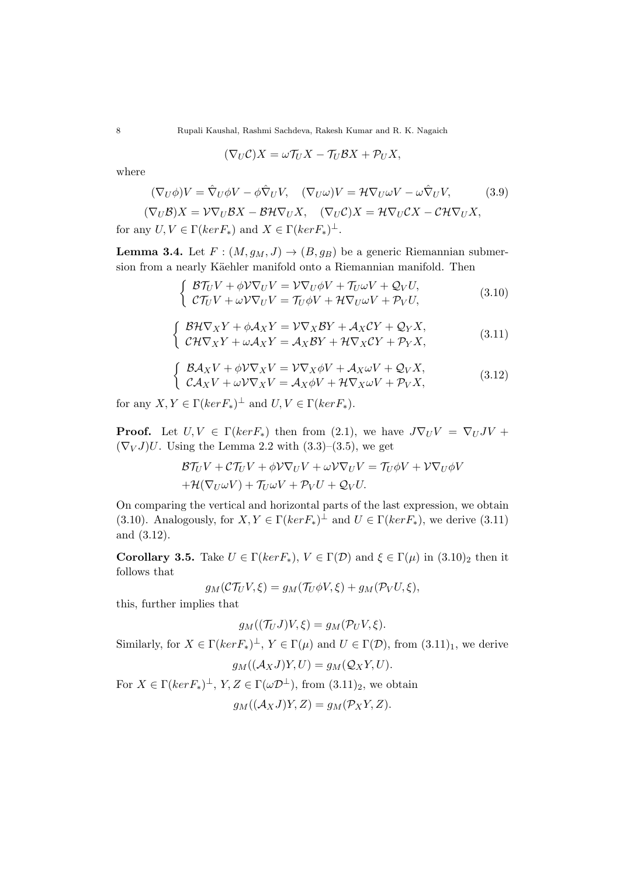$$
(\nabla_U \mathcal{C})X = \omega \mathcal{T}_U X - \mathcal{T}_U \mathcal{B} X + \mathcal{P}_U X,
$$

where

$$
(\nabla_U \phi)V = \hat{\nabla}_U \phi V - \phi \hat{\nabla}_U V, \quad (\nabla_U \omega)V = \mathcal{H} \nabla_U \omega V - \omega \hat{\nabla}_U V,
$$
(3.9)  

$$
(\nabla_U \mathcal{B})X = \mathcal{V} \nabla_U \mathcal{B}X - \mathcal{B} \mathcal{H} \nabla_U X, \quad (\nabla_U \mathcal{C})X = \mathcal{H} \nabla_U \mathcal{C}X - \mathcal{C} \mathcal{H} \nabla_U X,
$$

for any  $U, V \in \Gamma(ker F_*)$  and  $X \in \Gamma(ker F_*)^{\perp}$ .

**Lemma 3.4.** Let  $F : (M, g_M, J) \rightarrow (B, g_B)$  be a generic Riemannian submersion from a nearly Käehler manifold onto a Riemannian manifold. Then

$$
\begin{cases}\n\mathcal{B}\mathcal{T}_{U}V + \phi V\nabla_{U}V = V\nabla_{U}\phi V + \mathcal{T}_{U}\omega V + \mathcal{Q}_{V}U, \\
\mathcal{C}\mathcal{T}_{U}V + \omega V\nabla_{U}V = \mathcal{T}_{U}\phi V + \mathcal{H}\nabla_{U}\omega V + \mathcal{P}_{V}U,\n\end{cases}
$$
\n(3.10)

$$
\begin{cases}\n\mathcal{B} \mathcal{H} \nabla_X Y + \phi \mathcal{A}_X Y = \mathcal{V} \nabla_X \mathcal{B} Y + \mathcal{A}_X \mathcal{C} Y + \mathcal{Q}_Y X, \\
\mathcal{C} \mathcal{H} \nabla_X Y + \omega \mathcal{A}_X Y = \mathcal{A}_X \mathcal{B} Y + \mathcal{H} \nabla_X \mathcal{C} Y + \mathcal{P}_Y X,\n\end{cases} (3.11)
$$

$$
\begin{cases}\n\mathcal{B}\mathcal{A}_X V + \phi \mathcal{V} \nabla_X V = \mathcal{V} \nabla_X \phi V + \mathcal{A}_X \omega V + \mathcal{Q}_V X, \\
\mathcal{C}\mathcal{A}_X V + \omega \mathcal{V} \nabla_X V = \mathcal{A}_X \phi V + \mathcal{H} \nabla_X \omega V + \mathcal{P}_V X,\n\end{cases}
$$
\n(3.12)

for any  $X, Y \in \Gamma(ker F_*)^{\perp}$  and  $U, V \in \Gamma(ker F_*)$ .

**Proof.** Let  $U, V \in \Gamma(kerF_*)$  then from (2.1), we have  $J\nabla_U V = \nabla_U JV + \nabla_U J \nabla_U V = \nabla_U J \nabla_U V$  $(\nabla_V J)U$ . Using the Lemma 2.2 with (3.3)–(3.5), we get

$$
\mathcal{B}\mathcal{T}_{U}V + \mathcal{C}\mathcal{T}_{U}V + \phi V\nabla_{U}V + \omega V\nabla_{U}V = \mathcal{T}_{U}\phi V + V\nabla_{U}\phi V \n+ \mathcal{H}(\nabla_{U}\omega V) + \mathcal{T}_{U}\omega V + \mathcal{P}_{V}U + \mathcal{Q}_{V}U.
$$

On comparing the vertical and horizontal parts of the last expression, we obtain (3.10). Analogously, for  $X, Y \in \Gamma(ker F_*)^{\perp}$  and  $U \in \Gamma(ker F_*)$ , we derive (3.11) and (3.12).

**Corollary 3.5.** Take  $U \in \Gamma(ker F_*)$ ,  $V \in \Gamma(\mathcal{D})$  and  $\xi \in \Gamma(\mu)$  in  $(3.10)_2$  then it follows that

$$
g_M(\mathcal{CT}_U V,\xi)=g_M(\mathcal{T}_U \phi V,\xi)+g_M(\mathcal{P}_V U,\xi),
$$

this, further implies that

$$
g_M((\mathcal{T}_U J)V,\xi) = g_M(\mathcal{P}_U V,\xi).
$$

Similarly, for  $X \in \Gamma(ker F_*)^{\perp}$ ,  $Y \in \Gamma(\mu)$  and  $U \in \Gamma(\mathcal{D})$ , from  $(3.11)_1$ , we derive

$$
g_M((\mathcal{A}_XJ)Y,U) = g_M(\mathcal{Q}_XY,U).
$$

For  $X \in \Gamma(ker F_*)^{\perp}$ ,  $Y, Z \in \Gamma(\omega \mathcal{D}^{\perp})$ , from  $(3.11)_2$ , we obtain

$$
g_M((\mathcal{A}_XJ)Y,Z)=g_M(\mathcal{P}_XY,Z).
$$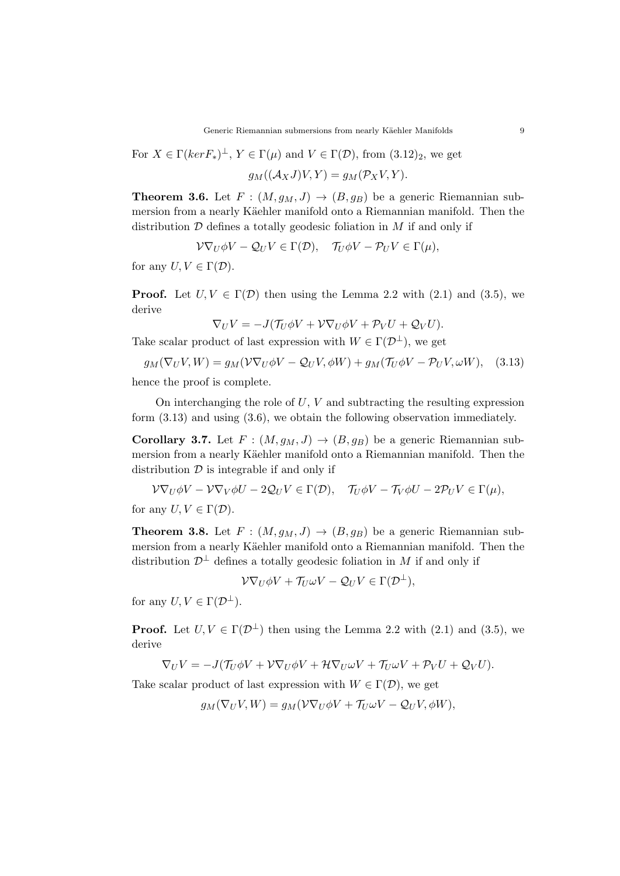For  $X \in \Gamma(ker F_*)^{\perp}$ ,  $Y \in \Gamma(\mu)$  and  $V \in \Gamma(\mathcal{D})$ , from  $(3.12)_2$ , we get

$$
g_M((\mathcal{A}_X J)V, Y) = g_M(\mathcal{P}_X V, Y).
$$

**Theorem 3.6.** Let  $F : (M, g_M, J) \rightarrow (B, g_B)$  be a generic Riemannian submersion from a nearly Käehler manifold onto a Riemannian manifold. Then the distribution *D* defines a totally geodesic foliation in *M* if and only if

$$
\mathcal{V}\nabla_U\phi V - \mathcal{Q}_U V \in \Gamma(\mathcal{D}), \quad \mathcal{T}_U\phi V - \mathcal{P}_U V \in \Gamma(\mu),
$$

for any  $U, V \in \Gamma(\mathcal{D})$ .

**Proof.** Let  $U, V \in \Gamma(\mathcal{D})$  then using the Lemma 2.2 with (2.1) and (3.5), we derive

$$
\nabla_U V = -J(\mathcal{T}_U \phi V + \mathcal{V} \nabla_U \phi V + \mathcal{P}_V U + \mathcal{Q}_V U).
$$

Take scalar product of last expression with  $W \in \Gamma(\mathcal{D}^{\perp})$ , we get

$$
g_M(\nabla_U V, W) = g_M(V\nabla_U \phi V - \mathcal{Q}_U V, \phi W) + g_M(\mathcal{T}_U \phi V - \mathcal{P}_U V, \omega W), \quad (3.13)
$$

hence the proof is complete.

On interchanging the role of *U*, *V* and subtracting the resulting expression form (3.13) and using (3.6), we obtain the following observation immediately.

**Corollary 3.7.** Let  $F : (M, g_M, J) \rightarrow (B, g_B)$  be a generic Riemannian submersion from a nearly Käehler manifold onto a Riemannian manifold. Then the distribution *D* is integrable if and only if

$$
\mathcal{V}\nabla_U\phi V - \mathcal{V}\nabla_V\phi U - 2\mathcal{Q}_U V \in \Gamma(\mathcal{D}), \quad \mathcal{T}_U\phi V - \mathcal{T}_V\phi U - 2\mathcal{P}_U V \in \Gamma(\mu),
$$

for any  $U, V \in \Gamma(\mathcal{D})$ .

**Theorem 3.8.** Let  $F : (M, g_M, J) \rightarrow (B, g_B)$  be a generic Riemannian submersion from a nearly Käehler manifold onto a Riemannian manifold. Then the distribution  $\mathcal{D}^{\perp}$  defines a totally geodesic foliation in *M* if and only if

 $\mathcal{V}\nabla_U\phi V + \mathcal{T}_U\omega V - \mathcal{Q}_U V \in \Gamma(\mathcal{D}^\perp),$ 

for any  $U, V \in \Gamma(\mathcal{D}^{\perp}).$ 

**Proof.** Let  $U, V \in \Gamma(\mathcal{D}^{\perp})$  then using the Lemma 2.2 with (2.1) and (3.5), we derive

$$
\nabla_U V = -J(\mathcal{T}_U \phi V + \mathcal{V} \nabla_U \phi V + \mathcal{H} \nabla_U \omega V + \mathcal{T}_U \omega V + \mathcal{P}_V U + \mathcal{Q}_V U).
$$

Take scalar product of last expression with  $W \in \Gamma(\mathcal{D})$ , we get

$$
g_M(\nabla_U V, W) = g_M(\mathcal{V} \nabla_U \phi V + \mathcal{T}_U \omega V - \mathcal{Q}_U V, \phi W),
$$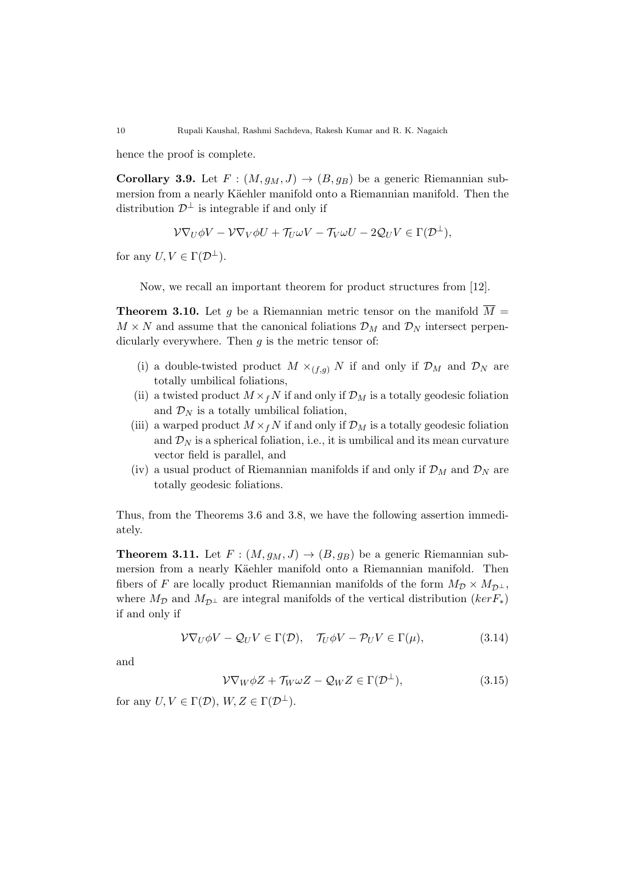hence the proof is complete.

**Corollary 3.9.** Let  $F : (M, g_M, J) \rightarrow (B, g_B)$  be a generic Riemannian submersion from a nearly Käehler manifold onto a Riemannian manifold. Then the distribution  $\mathcal{D}^{\perp}$  is integrable if and only if

$$
\mathcal{V}\nabla_U \phi V - \mathcal{V}\nabla_V \phi U + \mathcal{T}_U \omega V - \mathcal{T}_V \omega U - 2\mathcal{Q}_U V \in \Gamma(\mathcal{D}^{\perp}),
$$

for any  $U, V \in \Gamma(\mathcal{D}^{\perp}).$ 

Now, we recall an important theorem for product structures from [12].

**Theorem 3.10.** Let *g* be a Riemannian metric tensor on the manifold  $\overline{M}$  =  $M \times N$  and assume that the canonical foliations  $\mathcal{D}_M$  and  $\mathcal{D}_N$  intersect perpendicularly everywhere. Then *g* is the metric tensor of:

- (i) a double-twisted product  $M \times_{(f,g)} N$  if and only if  $\mathcal{D}_M$  and  $\mathcal{D}_N$  are totally umbilical foliations,
- (ii) a twisted product  $M \times_f N$  if and only if  $\mathcal{D}_M$  is a totally geodesic foliation and  $\mathcal{D}_N$  is a totally umbilical foliation,
- (iii) a warped product  $M \times_f N$  if and only if  $\mathcal{D}_M$  is a totally geodesic foliation and  $\mathcal{D}_N$  is a spherical foliation, i.e., it is umbilical and its mean curvature vector field is parallel, and
- (iv) a usual product of Riemannian manifolds if and only if  $\mathcal{D}_M$  and  $\mathcal{D}_N$  are totally geodesic foliations.

Thus, from the Theorems 3.6 and 3.8, we have the following assertion immediately.

**Theorem 3.11.** Let  $F : (M, g_M, J) \rightarrow (B, g_B)$  be a generic Riemannian submersion from a nearly Käehler manifold onto a Riemannian manifold. Then fibers of *F* are locally product Riemannian manifolds of the form  $M_{\mathcal{D}} \times M_{\mathcal{D}^{\perp}}$ , where  $M_{\mathcal{D}}$  and  $M_{\mathcal{D}^{\perp}}$  are integral manifolds of the vertical distribution (*kerF*<sub>*\**</sub>) if and only if

$$
\mathcal{V}\nabla_U \phi V - \mathcal{Q}_U V \in \Gamma(\mathcal{D}), \quad \mathcal{T}_U \phi V - \mathcal{P}_U V \in \Gamma(\mu), \tag{3.14}
$$

and

$$
\mathcal{V}\nabla_W \phi Z + \mathcal{T}_W \omega Z - \mathcal{Q}_W Z \in \Gamma(\mathcal{D}^\perp),\tag{3.15}
$$

for any  $U, V \in \Gamma(\mathcal{D})$ ,  $W, Z \in \Gamma(\mathcal{D}^{\perp})$ .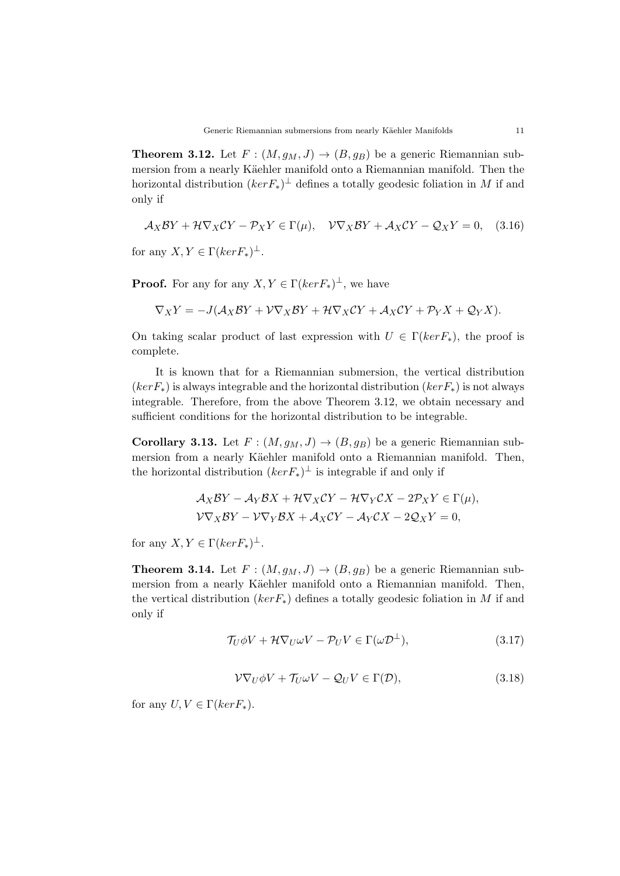**Theorem 3.12.** Let  $F : (M, g_M, J) \rightarrow (B, g_B)$  be a generic Riemannian submersion from a nearly Käehler manifold onto a Riemannian manifold. Then the horizontal distribution (*kerF∗*) *⊥* defines a totally geodesic foliation in *M* if and only if

$$
\mathcal{A}_X \mathcal{B}Y + \mathcal{H} \nabla_X \mathcal{C}Y - \mathcal{P}_X Y \in \Gamma(\mu), \quad \mathcal{V} \nabla_X \mathcal{B}Y + \mathcal{A}_X \mathcal{C}Y - \mathcal{Q}_X Y = 0, \quad (3.16)
$$

for any  $X, Y \in \Gamma(ker F_*)^{\perp}$ .

**Proof.** For any for any  $X, Y \in \Gamma(ker F_*)^{\perp}$ , we have

$$
\nabla_X Y = -J(\mathcal{A}_X \mathcal{B} Y + \mathcal{V} \nabla_X \mathcal{B} Y + \mathcal{H} \nabla_X \mathcal{C} Y + \mathcal{A}_X \mathcal{C} Y + \mathcal{P}_Y X + \mathcal{Q}_Y X).
$$

On taking scalar product of last expression with  $U \in \Gamma(ker F_{*})$ , the proof is complete.

It is known that for a Riemannian submersion, the vertical distribution (*kerF∗*) is always integrable and the horizontal distribution (*kerF∗*) is not always integrable. Therefore, from the above Theorem 3.12, we obtain necessary and sufficient conditions for the horizontal distribution to be integrable.

**Corollary 3.13.** Let  $F : (M, g_M, J) \rightarrow (B, g_B)$  be a generic Riemannian submersion from a nearly Käehler manifold onto a Riemannian manifold. Then, the horizontal distribution  $(ker F_*)^{\perp}$  is integrable if and only if

$$
\mathcal{A}_X \mathcal{B}Y - \mathcal{A}_Y \mathcal{B}X + \mathcal{H} \nabla_X \mathcal{C}Y - \mathcal{H} \nabla_Y \mathcal{C}X - 2\mathcal{P}_X Y \in \Gamma(\mu),
$$
  

$$
\mathcal{V} \nabla_X \mathcal{B}Y - \mathcal{V} \nabla_Y \mathcal{B}X + \mathcal{A}_X \mathcal{C}Y - \mathcal{A}_Y \mathcal{C}X - 2\mathcal{Q}_X Y = 0,
$$

for any  $X, Y \in \Gamma(ker F_*)^{\perp}$ .

**Theorem 3.14.** Let  $F : (M, g_M, J) \rightarrow (B, g_B)$  be a generic Riemannian submersion from a nearly Käehler manifold onto a Riemannian manifold. Then, the vertical distribution (*kerF∗*) defines a totally geodesic foliation in *M* if and only if

$$
\mathcal{T}_U \phi V + \mathcal{H} \nabla_U \omega V - \mathcal{P}_U V \in \Gamma(\omega \mathcal{D}^\perp),\tag{3.17}
$$

$$
\mathcal{V}\nabla_U \phi V + \mathcal{T}_U \omega V - \mathcal{Q}_U V \in \Gamma(\mathcal{D}),\tag{3.18}
$$

for any  $U, V \in \Gamma(ker F_{*})$ .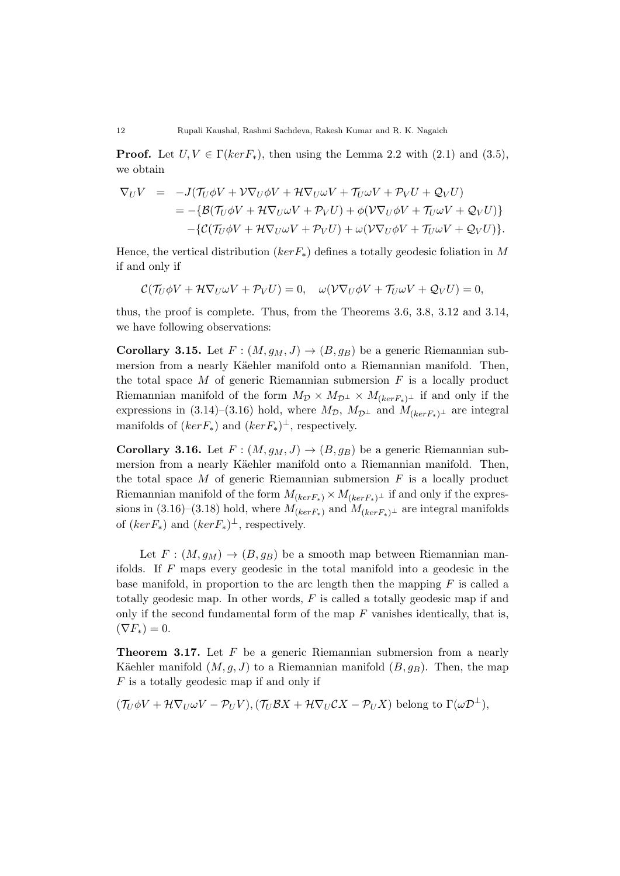**Proof.** Let  $U, V \in \Gamma(ker F_{*})$ , then using the Lemma 2.2 with (2.1) and (3.5), we obtain

$$
\nabla_U V = -J(\mathcal{T}_U \phi V + \mathcal{V} \nabla_U \phi V + \mathcal{H} \nabla_U \omega V + \mathcal{T}_U \omega V + \mathcal{P}_V U + \mathcal{Q}_V U)
$$
  
= 
$$
-\{\mathcal{B}(\mathcal{T}_U \phi V + \mathcal{H} \nabla_U \omega V + \mathcal{P}_V U) + \phi(\mathcal{V} \nabla_U \phi V + \mathcal{T}_U \omega V + \mathcal{Q}_V U)\}
$$
  

$$
-\{\mathcal{C}(\mathcal{T}_U \phi V + \mathcal{H} \nabla_U \omega V + \mathcal{P}_V U) + \omega(\mathcal{V} \nabla_U \phi V + \mathcal{T}_U \omega V + \mathcal{Q}_V U)\}.
$$

Hence, the vertical distribution (*kerF∗*) defines a totally geodesic foliation in *M* if and only if

$$
\mathcal{C}(\mathcal{T}_U \phi V + \mathcal{H} \nabla_U \omega V + \mathcal{P}_V U) = 0, \quad \omega(\mathcal{V} \nabla_U \phi V + \mathcal{T}_U \omega V + \mathcal{Q}_V U) = 0,
$$

thus, the proof is complete. Thus, from the Theorems 3.6, 3.8, 3.12 and 3.14, we have following observations:

**Corollary 3.15.** Let  $F : (M, g_M, J) \to (B, g_B)$  be a generic Riemannian submersion from a nearly Käehler manifold onto a Riemannian manifold. Then, the total space  $M$  of generic Riemannian submersion  $F$  is a locally product Riemannian manifold of the form  $M_{\mathcal{D}} \times M_{\mathcal{D}^{\perp}} \times M_{(ker F_{*})^{\perp}}$  if and only if the expressions in (3.14)–(3.16) hold, where  $M_{\mathcal{D}}$ ,  $M_{\mathcal{D}^{\perp}}$  and  $M_{(kerF_*)^{\perp}}$  are integral manifolds of  $(ker F_*)$  and  $(ker F_*)^{\perp}$ , respectively.

**Corollary 3.16.** Let  $F : (M, g_M, J) \to (B, g_B)$  be a generic Riemannian submersion from a nearly Käehler manifold onto a Riemannian manifold. Then, the total space *M* of generic Riemannian submersion *F* is a locally product Riemannian manifold of the form  $M_{(kerF_*)} \times M_{(kerF_*)^{\perp}}$  if and only if the expressions in  $(3.16)$ – $(3.18)$  hold, where  $M_{(kerF_*)}$  and  $M_{(kerF_*)\perp}$  are integral manifolds of  $(ker F_*)$  and  $(ker F_*)^{\perp}$ , respectively.

Let  $F: (M, g_M) \to (B, g_B)$  be a smooth map between Riemannian manifolds. If *F* maps every geodesic in the total manifold into a geodesic in the base manifold, in proportion to the arc length then the mapping *F* is called a totally geodesic map. In other words, *F* is called a totally geodesic map if and only if the second fundamental form of the map *F* vanishes identically, that is,  $(\nabla F_*) = 0.$ 

**Theorem 3.17.** Let F be a generic Riemannian submersion from a nearly Käehler manifold  $(M, q, J)$  to a Riemannian manifold  $(B, q_B)$ . Then, the map *F* is a totally geodesic map if and only if

$$
(T_U \phi V + \mathcal{H} \nabla_U \omega V - \mathcal{P}_U V), (T_U \mathcal{B} X + \mathcal{H} \nabla_U \mathcal{C} X - \mathcal{P}_U X)
$$
 belong to  $\Gamma(\omega \mathcal{D}^{\perp}),$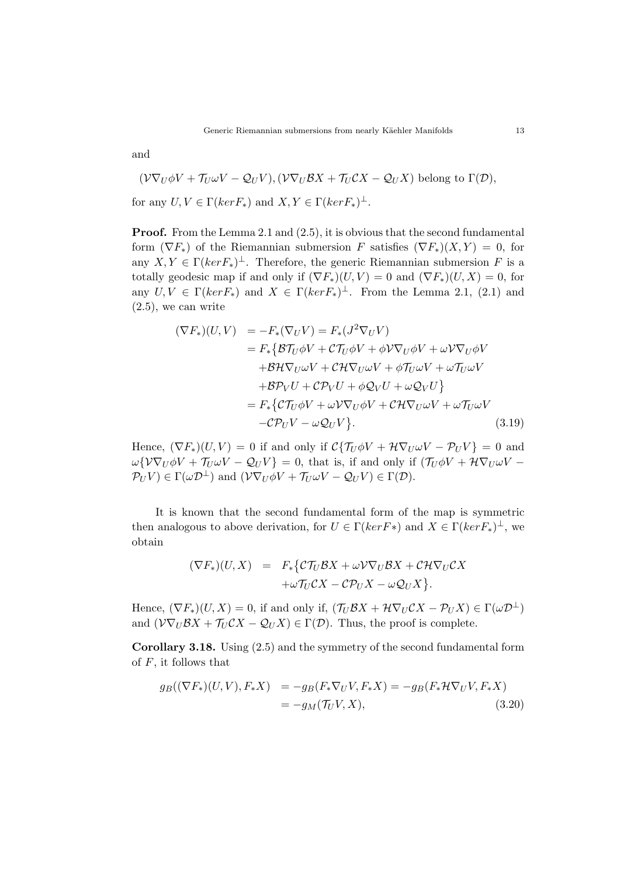and

$$
(\mathcal{V}\nabla_U\phi V + \mathcal{T}_U\omega V - \mathcal{Q}_U V), (\mathcal{V}\nabla_U \mathcal{B}X + \mathcal{T}_U \mathcal{C}X - \mathcal{Q}_U X)
$$
 belong to  $\Gamma(\mathcal{D})$ ,  
for any  $U, V \in \Gamma(ker F_*)$  and  $X, Y \in \Gamma(ker F_*)^{\perp}$ .

**Proof.** From the Lemma 2.1 and (2.5), it is obvious that the second fundamental form  $(\nabla F_*)$  of the Riemannian submersion *F* satisfies  $(\nabla F_*)(X, Y) = 0$ , for any  $X, Y \in \Gamma(ker F_*)^{\perp}$ . Therefore, the generic Riemannian submersion *F* is a totally geodesic map if and only if  $(\nabla F_*)(U, V) = 0$  and  $(\nabla F_*)(U, X) = 0$ , for any  $U, V \in \Gamma(kerF_*)$  and  $X \in \Gamma(kerF_*)^{\perp}$ . From the Lemma 2.1, (2.1) and  $(2.5)$ , we can write

$$
(\nabla F_*)(U, V) = -F_*(\nabla_U V) = F_*(J^2 \nabla_U V)
$$
  
\n
$$
= F_* \{ \mathcal{B} \mathcal{T}_U \phi V + \mathcal{C} \mathcal{T}_U \phi V + \phi \mathcal{V} \nabla_U \phi V + \omega \mathcal{V} \nabla_U \phi V
$$
  
\n
$$
+ \mathcal{B} \mathcal{H} \nabla_U \omega V + \mathcal{C} \mathcal{H} \nabla_U \omega V + \phi \mathcal{T}_U \omega V + \omega \mathcal{T}_U \omega V
$$
  
\n
$$
+ \mathcal{B} \mathcal{P}_V U + \mathcal{C} \mathcal{P}_V U + \phi \mathcal{Q}_V U + \omega \mathcal{Q}_V U \}
$$
  
\n
$$
= F_* \{ \mathcal{C} \mathcal{T}_U \phi V + \omega \mathcal{V} \nabla_U \phi V + \mathcal{C} \mathcal{H} \nabla_U \omega V + \omega \mathcal{T}_U \omega V
$$
  
\n
$$
- \mathcal{C} \mathcal{P}_U V - \omega \mathcal{Q}_U V \}. \tag{3.19}
$$

Hence,  $(\nabla F_*)(U, V) = 0$  if and only if  $C\{\mathcal{T}_U\phi V + \mathcal{H}\nabla_U\omega V - \mathcal{P}_UV\} = 0$  and  $\omega \{V\nabla_U \phi V + \mathcal{T}_U \omega V - \mathcal{Q}_U V\} = 0$ , that is, if and only if  $(\mathcal{T}_U \phi V + \mathcal{H} \nabla_U \omega V - \mathcal{T}_U \nabla_U \omega V)$  $\mathcal{P}_U V$ )  $\in \Gamma(\omega \mathcal{D}^{\perp})$  and  $(\mathcal{V} \nabla_U \phi V + \mathcal{T}_U \omega V - \mathcal{Q}_U V) \in \Gamma(\mathcal{D})$ .

It is known that the second fundamental form of the map is symmetric then analogous to above derivation, for  $U \in \Gamma(ker F*)$  and  $X \in \Gamma(ker F*)^{\perp}$ , we obtain

$$
(\nabla F_*)(U, X) = F_* \{ \mathcal{CT}_U \mathcal{B}X + \omega \mathcal{V} \nabla_U \mathcal{B}X + \mathcal{C} \mathcal{H} \nabla_U \mathcal{C}X + \omega \mathcal{T}_U \mathcal{C}X - \mathcal{C} \mathcal{P}_U X - \omega \mathcal{Q}_U X \}.
$$

Hence,  $(\nabla F_*)(U, X) = 0$ , if and only if,  $(\mathcal{T}_U \mathcal{B} X + \mathcal{H} \nabla_U \mathcal{C} X - \mathcal{P}_U X) \in \Gamma(\omega \mathcal{D}^{\perp})$ and  $(\mathcal{V}\nabla_U\mathcal{B}X + \mathcal{T}_U\mathcal{C}X - \mathcal{Q}_U X) \in \Gamma(\mathcal{D})$ . Thus, the proof is complete.

**Corollary 3.18.** Using (2.5) and the symmetry of the second fundamental form of *F*, it follows that

$$
g_B((\nabla F_*)(U, V), F_*X) = -g_B(F_*\nabla_U V, F_*X) = -g_B(F_*\mathcal{H}\nabla_U V, F_*X)
$$
  
= 
$$
-g_M(\mathcal{T}_U V, X),
$$
 (3.20)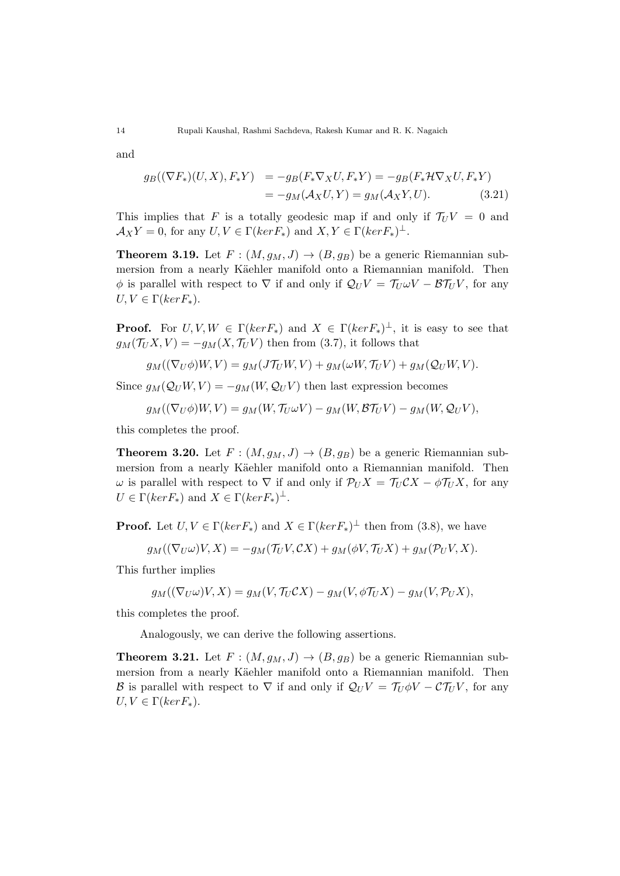and

$$
g_B((\nabla F_*)(U, X), F_*Y) = -g_B(F_*\nabla_X U, F_*Y) = -g_B(F_*\mathcal{H}\nabla_X U, F_*Y)
$$
  
= 
$$
-g_M(\mathcal{A}_X U, Y) = g_M(\mathcal{A}_X Y, U).
$$
 (3.21)

This implies that *F* is a totally geodesic map if and only if  $T_U V = 0$  and  $\mathcal{A}_X Y = 0$ , for any  $U, V \in \Gamma(ker F_*)$  and  $X, Y \in \Gamma(ker F_*)^{\perp}$ .

**Theorem 3.19.** Let  $F : (M, g_M, J) \rightarrow (B, g_B)$  be a generic Riemannian submersion from a nearly Käehler manifold onto a Riemannian manifold. Then  $\phi$  is parallel with respect to  $\nabla$  if and only if  $Q_U V = T_U \omega V - \mathcal{B} T_U V$ , for any  $U, V \in \Gamma(ker F_{*})$ .

**Proof.** For  $U, V, W \in \Gamma(kerF_*)$  and  $X \in \Gamma(kerF_*)^{\perp}$ , it is easy to see that  $g_M(\mathcal{T}_U X, V) = -g_M(X, \mathcal{T}_U V)$  then from (3.7), it follows that

$$
g_M((\nabla_U \phi)W, V) = g_M(J\mathcal{T}_U W, V) + g_M(\omega W, \mathcal{T}_U V) + g_M(\mathcal{Q}_U W, V).
$$

Since  $g_M(\mathcal{Q}_U W, V) = -g_M(W, \mathcal{Q}_U V)$  then last expression becomes

$$
g_M((\nabla_U \phi)W, V) = g_M(W, \mathcal{T}_U \omega V) - g_M(W, \mathcal{B} \mathcal{T}_U V) - g_M(W, \mathcal{Q}_U V),
$$

this completes the proof.

**Theorem 3.20.** Let  $F : (M, g_M, J) \rightarrow (B, g_B)$  be a generic Riemannian submersion from a nearly Käehler manifold onto a Riemannian manifold. Then *ω* is parallel with respect to  $∇$  if and only if  $P_U X = T_U C X - φ T_U X$ , for any  $U \in \Gamma(ker F_*)$  and  $X \in \Gamma(ker F_*)^{\perp}$ .

**Proof.** Let  $U, V \in \Gamma(ker F_*)$  and  $X \in \Gamma(ker F_*)^{\perp}$  then from (3.8), we have

$$
g_M((\nabla_U \omega)V, X) = -g_M(\mathcal{T}_U V, \mathcal{C} X) + g_M(\phi V, \mathcal{T}_U X) + g_M(\mathcal{P}_U V, X).
$$

This further implies

$$
g_M((\nabla_U \omega)V, X) = g_M(V, \mathcal{T}_U \mathcal{C} X) - g_M(V, \phi \mathcal{T}_U X) - g_M(V, \mathcal{P}_U X),
$$

this completes the proof.

Analogously, we can derive the following assertions.

**Theorem 3.21.** Let  $F : (M, g_M, J) \rightarrow (B, g_B)$  be a generic Riemannian submersion from a nearly Käehler manifold onto a Riemannian manifold. Then *B* is parallel with respect to  $\nabla$  if and only if  $Q_U V = T_U \phi V - C T_U V$ , for any  $U, V \in \Gamma(ker F_{*})$ .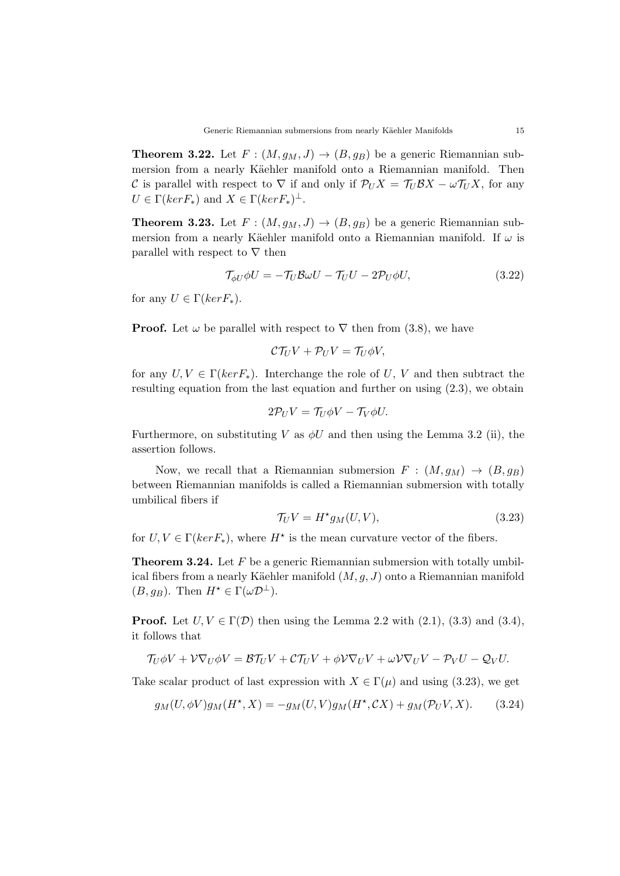**Theorem 3.22.** Let  $F : (M, g_M, J) \rightarrow (B, g_B)$  be a generic Riemannian submersion from a nearly Käehler manifold onto a Riemannian manifold. Then *C* is parallel with respect to  $\nabla$  if and only if  $\mathcal{P}_U X = \mathcal{T}_U \mathcal{B} X - \omega \mathcal{T}_U X$ , for any  $U \in \Gamma(ker F_*)$  and  $X \in \Gamma(ker F_*)^{\perp}$ .

**Theorem 3.23.** Let  $F : (M, g_M, J) \rightarrow (B, g_B)$  be a generic Riemannian submersion from a nearly Käehler manifold onto a Riemannian manifold. If  $\omega$  is parallel with respect to *∇* then

$$
\mathcal{T}_{\phi U} \phi U = -\mathcal{T}_U \mathcal{B} \omega U - \mathcal{T}_U U - 2\mathcal{P}_U \phi U, \qquad (3.22)
$$

for any  $U \in \Gamma(ker F_*)$ .

**Proof.** Let  $\omega$  be parallel with respect to  $\nabla$  then from (3.8), we have

$$
\mathcal{C}\mathcal{T}_U V + \mathcal{P}_U V = \mathcal{T}_U \phi V,
$$

for any  $U, V \in \Gamma(ker F_{*})$ . Interchange the role of  $U, V$  and then subtract the resulting equation from the last equation and further on using (2.3), we obtain

$$
2\mathcal{P}_U V = \mathcal{T}_U \phi V - \mathcal{T}_V \phi U.
$$

Furthermore, on substituting *V* as  $\phi U$  and then using the Lemma 3.2 (ii), the assertion follows.

Now, we recall that a Riemannian submersion  $F : (M, g_M) \rightarrow (B, g_B)$ between Riemannian manifolds is called a Riemannian submersion with totally umbilical fibers if

$$
\mathcal{T}_U V = H^{\star} g_M(U, V), \tag{3.23}
$$

for  $U, V \in \Gamma(ker F_*)$ , where  $H^*$  is the mean curvature vector of the fibers.

**Theorem 3.24.** Let F be a generic Riemannian submersion with totally umbilical fibers from a nearly Käehler manifold  $(M, g, J)$  onto a Riemannian manifold  $(B, g_B)$ . Then  $H^* \in \Gamma(\omega \mathcal{D}^{\perp})$ .

**Proof.** Let  $U, V \in \Gamma(\mathcal{D})$  then using the Lemma 2.2 with (2.1), (3.3) and (3.4), it follows that

$$
\mathcal{T}_U \phi V + \mathcal{V} \nabla_U \phi V = \mathcal{B} \mathcal{T}_U V + \mathcal{C} \mathcal{T}_U V + \phi \mathcal{V} \nabla_U V + \omega \mathcal{V} \nabla_U V - \mathcal{P}_V U - \mathcal{Q}_V U.
$$

Take scalar product of last expression with  $X \in \Gamma(\mu)$  and using (3.23), we get

$$
g_M(U, \phi V)g_M(H^*, X) = -g_M(U, V)g_M(H^*, CX) + g_M(\mathcal{P}_U V, X). \tag{3.24}
$$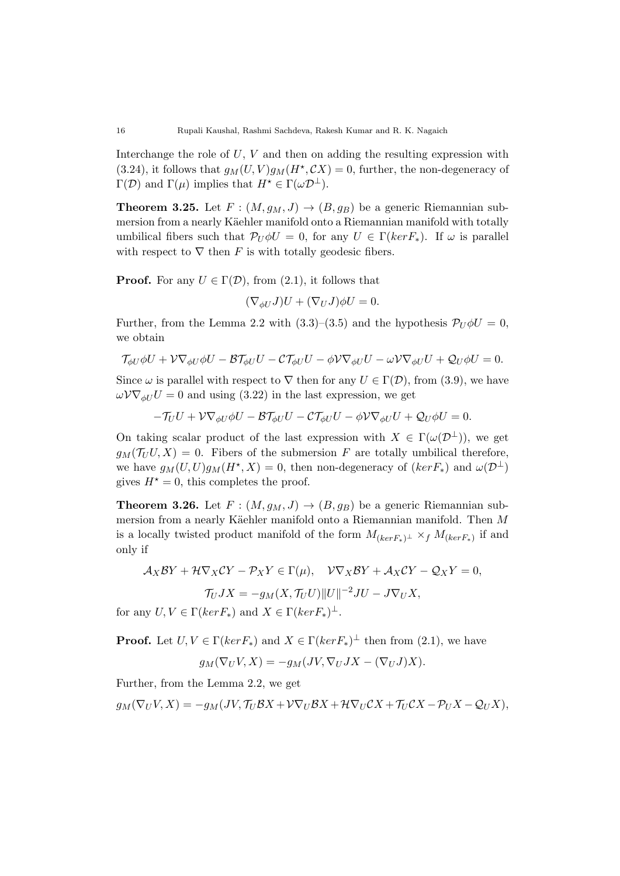Interchange the role of *U*, *V* and then on adding the resulting expression with  $(3.24)$ , it follows that  $g_M(U, V)g_M(H^{\star}, CX) = 0$ , further, the non-degeneracy of  $Γ(D)$  and  $Γ(μ)$  implies that  $H^\star ∈ Γ(ωD^⊥)$ .

**Theorem 3.25.** Let  $F : (M, g_M, J) \rightarrow (B, g_B)$  be a generic Riemannian submersion from a nearly Käehler manifold onto a Riemannian manifold with totally umbilical fibers such that  $\mathcal{P}_U \phi U = 0$ , for any  $U \in \Gamma(ker F_*)$ . If  $\omega$  is parallel with respect to  $\nabla$  then *F* is with totally geodesic fibers.

**Proof.** For any  $U \in \Gamma(\mathcal{D})$ , from (2.1), it follows that

$$
(\nabla_{\phi U} J)U + (\nabla_U J)\phi U = 0.
$$

Further, from the Lemma 2.2 with (3.3)–(3.5) and the hypothesis  $\mathcal{P}_U \phi U = 0$ , we obtain

$$
\mathcal{T}_{\phi U}\phi U + \mathcal{V}\nabla_{\phi U}\phi U - \mathcal{B}\mathcal{T}_{\phi U}U - \mathcal{C}\mathcal{T}_{\phi U}U - \phi\mathcal{V}\nabla_{\phi U}U - \omega\mathcal{V}\nabla_{\phi U}U + \mathcal{Q}_{U}\phi U = 0.
$$

Since  $\omega$  is parallel with respect to  $\nabla$  then for any  $U \in \Gamma(\mathcal{D})$ , from (3.9), we have  $\omega V \nabla_{\phi U} U = 0$  and using (3.22) in the last expression, we get

$$
-\mathcal{T}_U U + \mathcal{V}\nabla_{\phi U}\phi U - \mathcal{B}\mathcal{T}_{\phi U}U - \mathcal{C}\mathcal{T}_{\phi U}U - \phi\mathcal{V}\nabla_{\phi U}U + \mathcal{Q}_U\phi U = 0.
$$

On taking scalar product of the last expression with  $X \in \Gamma(\omega(\mathcal{D}^{\perp}))$ , we get  $g_M(\mathcal{T}_U U, X) = 0$ . Fibers of the submersion *F* are totally umbilical therefore, we have  $g_M(U, U)g_M(H^*, X) = 0$ , then non-degeneracy of  $(ker F_*)$  and  $\omega(\mathcal{D}^{\perp})$ gives  $H^* = 0$ , this completes the proof.

**Theorem 3.26.** Let  $F : (M, g_M, J) \rightarrow (B, g_B)$  be a generic Riemannian submersion from a nearly Käehler manifold onto a Riemannian manifold. Then M is a locally twisted product manifold of the form  $M_{(kerF_*)^\perp} \times_f M_{(kerF_*)}$  if and only if

$$
\mathcal{A}_X \mathcal{B}Y + \mathcal{H} \nabla_X \mathcal{C}Y - \mathcal{P}_X Y \in \Gamma(\mu), \quad \mathcal{V} \nabla_X \mathcal{B}Y + \mathcal{A}_X \mathcal{C}Y - \mathcal{Q}_X Y = 0,
$$

$$
\mathcal{T}_U JX = -g_M(X, \mathcal{T}_U U) ||U||^{-2} JU - J \nabla_U X,
$$

for any  $U, V \in \Gamma(ker F_*)$  and  $X \in \Gamma(ker F_*)^{\perp}$ .

**Proof.** Let  $U, V \in \Gamma(ker F_*)$  and  $X \in \Gamma(ker F_*)^{\perp}$  then from (2.1), we have

$$
g_M(\nabla_U V, X) = -g_M(JV, \nabla_U JX - (\nabla_U J)X).
$$

Further, from the Lemma 2.2, we get

$$
g_M(\nabla_U V, X) = -g_M(JV, \mathcal{T}_U \mathcal{B} X + \mathcal{V} \nabla_U \mathcal{B} X + \mathcal{H} \nabla_U \mathcal{C} X + \mathcal{T}_U \mathcal{C} X - \mathcal{P}_U X - \mathcal{Q}_U X),
$$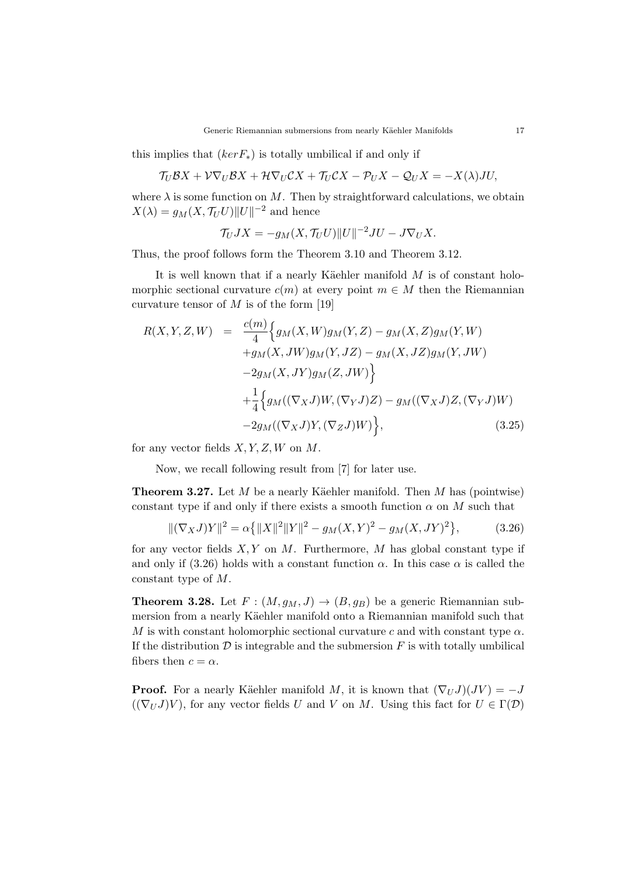this implies that  $(ker F<sub>*</sub>)$  is totally umbilical if and only if

$$
\mathcal{T}_U \mathcal{B} X + \mathcal{V} \nabla_U \mathcal{B} X + \mathcal{H} \nabla_U \mathcal{C} X + \mathcal{T}_U \mathcal{C} X - \mathcal{P}_U X - \mathcal{Q}_U X = -X(\lambda) JU,
$$

where  $\lambda$  is some function on M. Then by straightforward calculations, we obtain  $X(\lambda) = g_M(X, \mathcal{T}_U U) ||U||^{-2}$  and hence

$$
\mathcal{T}_U JX = -g_M(X, \mathcal{T}_U U) ||U||^{-2} JU - J\nabla_U X.
$$

Thus, the proof follows form the Theorem 3.10 and Theorem 3.12.

It is well known that if a nearly Käehler manifold M is of constant holomorphic sectional curvature  $c(m)$  at every point  $m \in M$  then the Riemannian curvature tensor of *M* is of the form [19]

$$
R(X,Y,Z,W) = \frac{c(m)}{4} \Big\{ g_M(X,W) g_M(Y,Z) - g_M(X,Z) g_M(Y,W) + g_M(X,JW) g_M(Y,JZ) - g_M(X,JZ) g_M(Y,JW) - 2g_M(X,JY) g_M(Z,JW) \Big\} + \frac{1}{4} \Big\{ g_M((\nabla_X J)W,(\nabla_Y J)Z) - g_M((\nabla_X J)Z,(\nabla_Y J)W) - 2g_M((\nabla_X J)Y,(\nabla_Z J)W) \Big\},
$$
(3.25)

for any vector fields *X, Y, Z, W* on *M*.

Now, we recall following result from [7] for later use.

**Theorem 3.27.** Let  $M$  be a nearly Käehler manifold. Then  $M$  has (pointwise) constant type if and only if there exists a smooth function  $\alpha$  on  $M$  such that

$$
\|(\nabla_X J)Y\|^2 = \alpha \{ \|X\|^2 \|Y\|^2 - g_M(X, Y)^2 - g_M(X, JY)^2 \},\tag{3.26}
$$

for any vector fields *X, Y* on *M*. Furthermore, *M* has global constant type if and only if (3.26) holds with a constant function  $\alpha$ . In this case  $\alpha$  is called the constant type of *M*.

**Theorem 3.28.** Let  $F : (M, g_M, J) \rightarrow (B, g_B)$  be a generic Riemannian submersion from a nearly Käehler manifold onto a Riemannian manifold such that *M* is with constant holomorphic sectional curvature *c* and with constant type  $\alpha$ . If the distribution  $D$  is integrable and the submersion  $F$  is with totally umbilical fibers then  $c = \alpha$ .

**Proof.** For a nearly Käehler manifold *M*, it is known that  $(\nabla_U J)(JV) = -J$  $((\nabla_U J)V)$ , for any vector fields *U* and *V* on *M*. Using this fact for  $U \in \Gamma(\mathcal{D})$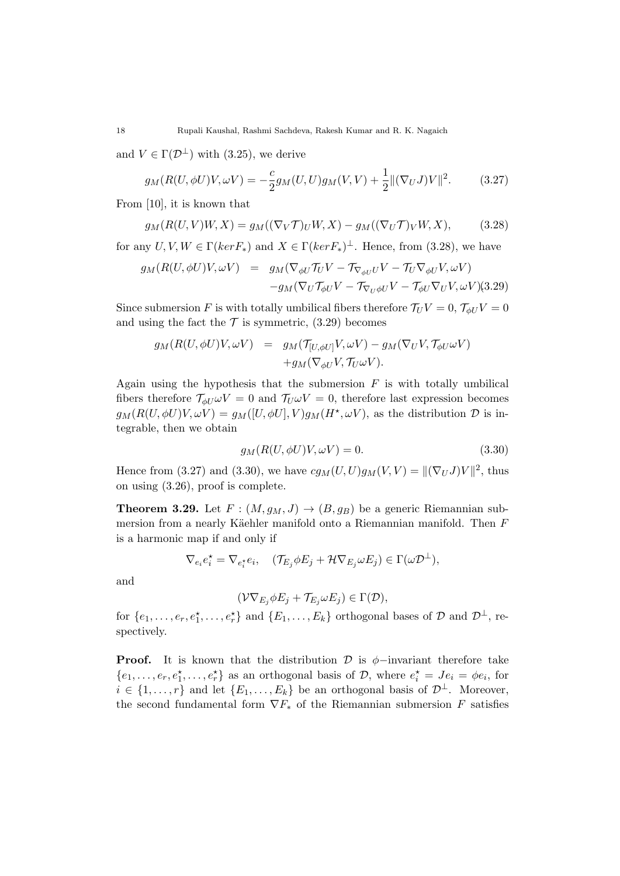and  $V \in \Gamma(\mathcal{D}^{\perp})$  with (3.25), we derive

$$
g_M(R(U, \phi U)V, \omega V) = -\frac{c}{2}g_M(U, U)g_M(V, V) + \frac{1}{2} ||(\nabla_U J)V||^2.
$$
 (3.27)

From [10], it is known that

$$
g_M(R(U,V)W,X) = g_M((\nabla_V \mathcal{T})_U W,X) - g_M((\nabla_U \mathcal{T})_V W,X),\tag{3.28}
$$

for any  $U, V, W \in \Gamma(ker F_*)$  and  $X \in \Gamma(ker F_*)^{\perp}$ . Hence, from (3.28), we have

$$
g_M(R(U, \phi U)V, \omega V) = g_M(\nabla_{\phi U} \mathcal{T}_U V - \mathcal{T}_{\nabla_{\phi U} U} V - \mathcal{T}_U \nabla_{\phi U} V, \omega V) -g_M(\nabla_U \mathcal{T}_{\phi U} V - \mathcal{T}_{\nabla_U \phi U} V - \mathcal{T}_{\phi U} \nabla_U V, \omega V)(3.29)
$$

Since submersion *F* is with totally umbilical fibers therefore  $\mathcal{T}_U V = 0$ ,  $\mathcal{T}_{\phi U} V = 0$ and using the fact the  $\mathcal T$  is symmetric, (3.29) becomes

$$
g_M(R(U, \phi U)V, \omega V) = g_M(\mathcal{T}_{[U, \phi U]}V, \omega V) - g_M(\nabla_U V, \mathcal{T}_{\phi U} \omega V) + g_M(\nabla_{\phi U}V, \mathcal{T}_{U} \omega V).
$$

Again using the hypothesis that the submersion *F* is with totally umbilical fibers therefore  $\mathcal{T}_{\phi U} \omega V = 0$  and  $\mathcal{T}_{U} \omega V = 0$ , therefore last expression becomes  $g_M(R(U, \phi U)V, \omega V) = g_M([U, \phi U], V)g_M(H^*, \omega V)$ , as the distribution  $\mathcal D$  is integrable, then we obtain

$$
g_M(R(U, \phi U)V, \omega V) = 0.
$$
\n(3.30)

Hence from (3.27) and (3.30), we have  $cg_M(U, U)g_M(V, V) = ||(\nabla_U J)V||^2$ , thus on using (3.26), proof is complete.

**Theorem 3.29.** Let  $F : (M, g_M, J) \rightarrow (B, g_B)$  be a generic Riemannian submersion from a nearly Käehler manifold onto a Riemannian manifold. Then F is a harmonic map if and only if

$$
\nabla_{e_i} e_i^\star = \nabla_{e_i^\star} e_i, \quad (\mathcal{T}_{E_j} \phi E_j + \mathcal{H} \nabla_{E_j} \omega E_j) \in \Gamma(\omega \mathcal{D}^\perp),
$$

and

$$
(\mathcal{V}\nabla_{E_j}\phi E_j+\mathcal{T}_{E_j}\omega E_j)\in\Gamma(\mathcal{D}),
$$

for  $\{e_1, \ldots, e_r, e_1^*, \ldots, e_r^*\}$  and  $\{E_1, \ldots, E_k\}$  orthogonal bases of  $\mathcal D$  and  $\mathcal D^{\perp}$ , respectively.

**Proof.** It is known that the distribution  $\mathcal{D}$  is  $\phi$ −invariant therefore take  ${e_1, \ldots, e_r, e_1^{\star}, \ldots, e_r^{\star}}$  as an orthogonal basis of *D*, where  $e_i^{\star} = Je_i = \phi e_i$ , for  $i \in \{1, \ldots, r\}$  and let  $\{E_1, \ldots, E_k\}$  be an orthogonal basis of  $\mathcal{D}^{\perp}$ . Moreover, the second fundamental form  $\nabla F_*$  of the Riemannian submersion *F* satisfies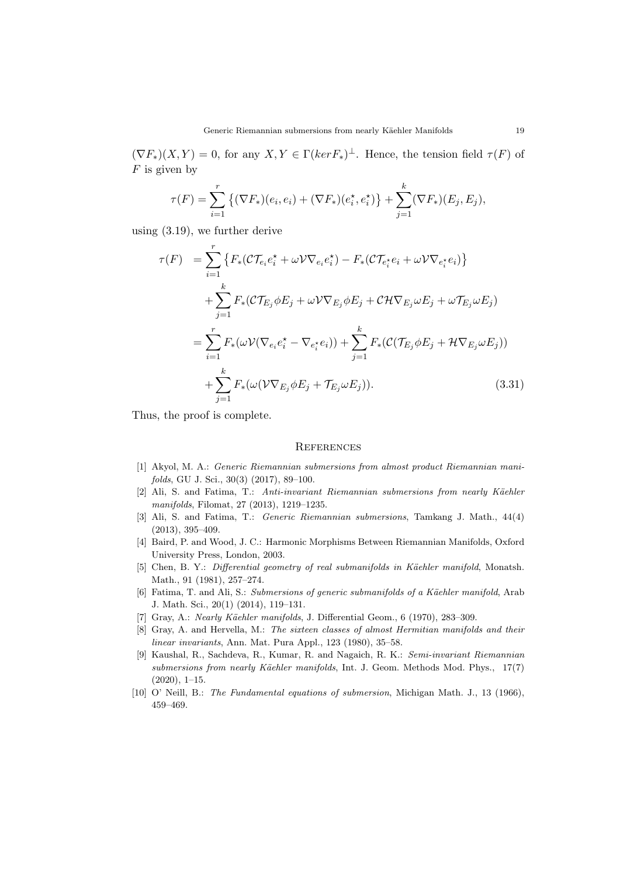$(\nabla F_*)(X, Y) = 0$ , for any  $X, Y \in \Gamma(ker F_*)^{\perp}$ . Hence, the tension field  $\tau(F)$  of *F* is given by

$$
\tau(F) = \sum_{i=1}^r \left\{ (\nabla F_*)(e_i, e_i) + (\nabla F_*)(e_i^*, e_i^*) \right\} + \sum_{j=1}^k (\nabla F_*)(E_j, E_j),
$$

using (3.19), we further derive

$$
\tau(F) = \sum_{i=1}^{r} \left\{ F_*(\mathcal{CT}_{e_i} e_i^* + \omega \mathcal{V} \nabla_{e_i} e_i^*) - F_*(\mathcal{CT}_{e_i^*} e_i + \omega \mathcal{V} \nabla_{e_i^*} e_i) \right\}
$$
  
+ 
$$
\sum_{j=1}^{k} F_*(\mathcal{CT}_{E_j} \phi E_j + \omega \mathcal{V} \nabla_{E_j} \phi E_j + \mathcal{CH} \nabla_{E_j} \omega E_j + \omega \mathcal{TE}_j \omega E_j)
$$
  
= 
$$
\sum_{i=1}^{r} F_*(\omega \mathcal{V} (\nabla_{e_i} e_i^* - \nabla_{e_i^*} e_i)) + \sum_{j=1}^{k} F_*(\mathcal{C}(\mathcal{T}_{E_j} \phi E_j + \mathcal{H} \nabla_{E_j} \omega E_j))
$$
  
+ 
$$
\sum_{j=1}^{k} F_*(\omega (\mathcal{V} \nabla_{E_j} \phi E_j + \mathcal{T}_{E_j} \omega E_j)). \tag{3.31}
$$

Thus, the proof is complete.

#### **REFERENCES**

- [1] Akyol, M. A.: *Generic Riemannian submersions from almost product Riemannian manifolds*, GU J. Sci., 30(3) (2017), 89–100.
- [2] Ali, S. and Fatima, T.: *Anti-invariant Riemannian submersions from nearly K¨aehler manifolds*, Filomat, 27 (2013), 1219–1235.
- [3] Ali, S. and Fatima, T.: *Generic Riemannian submersions*, Tamkang J. Math., 44(4) (2013), 395–409.
- [4] Baird, P. and Wood, J. C.: Harmonic Morphisms Between Riemannian Manifolds, Oxford University Press, London, 2003.
- [5] Chen, B. Y.: *Differential geometry of real submanifolds in Käehler manifold*, Monatsh. Math., 91 (1981), 257–274.
- [6] Fatima, T. and Ali, S.: *Submersions of generic submanifolds of a Käehler manifold*, Arab J. Math. Sci., 20(1) (2014), 119–131.
- [7] Gray, A.: *Nearly Käehler manifolds*, J. Differential Geom., 6 (1970), 283-309.
- [8] Gray, A. and Hervella, M.: *The sixteen classes of almost Hermitian manifolds and their linear invariants*, Ann. Mat. Pura Appl., 123 (1980), 35–58.
- [9] Kaushal, R., Sachdeva, R., Kumar, R. and Nagaich, R. K.: *Semi-invariant Riemannian submersions from nearly Käehler manifolds*, Int. J. Geom. Methods Mod. Phys., 17(7) (2020), 1–15.
- [10] O' Neill, B.: *The Fundamental equations of submersion*, Michigan Math. J., 13 (1966), 459–469.